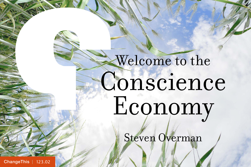# Welcome to the Conscience Economy

Steven Overman

[ChangeThis](http://changethis.com) | 123.02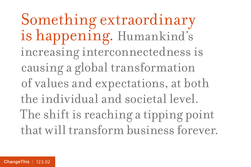Something extraordinary is happening. Humankind's increasing interconnectedness is causing a global transformation of values and expectations, at both the individual and societal level. The shift is reaching a tipping point that will transform business forever.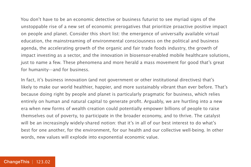You don't have to be an economic detective or business futurist to see myriad signs of the unstoppable rise of a new set of economic prerogatives that prioritize proactive positive impact on people and planet. Consider this short list: the emergence of universally available virtual education, the mainstreaming of environmental consciousness on the political and business agenda, the accelerating growth of the organic and fair trade foods industry, the growth of impact investing as a sector, and the innovation in biosensor-enabled mobile healthcare solutions, just to name a few. These phenomena and more herald a mass movement for good that's great for humanity—and for business.

In fact, it's business innovation (and not government or other institutional directives) that's likely to make our world healthier, happier, and more sustainably vibrant than ever before. That's because doing right by people and planet is particularly pragmatic for business, which relies entirely on human and natural capital to generate profit. Arguably, we are hurtling into a new era when new forms of wealth creation could potentially empower billions of people to raise themselves out of poverty, to participate in the broader economy, and to thrive. The catalyst will be an increasingly widely-shared notion: that it's in all of our best interest to do what's best for one another, for the environment, for our health and our collective well-being. In other words, new values will explode into exponential economic value.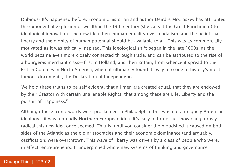Dubious? It's happened before. Economic historian and author Deirdre McCloskey has attributed the exponential explosion of wealth in the 19th century (she calls it the Great Enrichment) to ideological innovation. The new idea then: human equality over feudalism, and the belief that liberty and the dignity of human potential should be available to all. This was as commercially motivated as it was ethically inspired. This ideological shift began in the late 1600s, as the world became even more closely connected through trade, and can be attributed to the rise of a bourgeois merchant class—first in Holland, and then Britain, from whence it spread to the British Colonies in North America, where it ultimately found its way into one of history's most famous documents, the Declaration of Independence.

"We hold these truths to be self-evident, that all men are created equal, that they are endowed by their Creator with certain unalienable Rights, that among these are Life, Liberty and the pursuit of Happiness."

Although these iconic words were proclaimed in Philadelphia, this was not a uniquely American ideology—it was a broadly Northern European idea. It's easy to forget just how dangerously radical this new idea once seemed. That is, until you consider the bloodshed it caused on both sides of the Atlantic as the old aristocracies and their economic dominance (and arguably, ossification) were overthrown. This wave of liberty was driven by a class of people who were, in effect, entrepreneurs. It underpinned whole new systems of thinking and governance,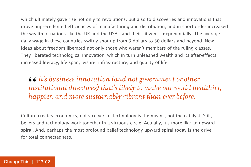which ultimately gave rise not only to revolutions, but also to discoveries and innovations that drove unprecedented efficiencies of manufacturing and distribution, and in short order increased the wealth of nations like the UK and the USA—and their citizens—exponentially. The average daily wage in these countries swiftly shot up from 3 dollars to 30 dollars and beyond. New ideas about freedom liberated not only those who weren't members of the ruling classes. They liberated technological innovation, which in turn unleashed wealth and its after-effects: increased literacy, life span, leisure, infrastructure, and quality of life.

*It's business innovation (and not government or other institutional directives) that's likely to make our world healthier, happier, and more sustainably vibrant than ever before.*  66<br>*ins*<br>*ha* 

Culture creates economics, not vice versa. Technology is the means, not the catalyst. Still, beliefs and technology work together in a virtuous circle. Actually, it's more like an upward spiral. And, perhaps the most profound belief-technology upward spiral today is the drive for total connectedness.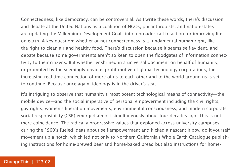Connectedness, like democracy, can be controversial. As I write these words, there's discussion and debate at the United Nations as a coalition of NGOs, philanthropists, and nation-states are updating the Millennium Development Goals into a broader call to action for improving life on earth. A key question: whether or not connectedness is a fundamental human right, like the right to clean air and healthy food. There's discussion because it seems self-evident, and debate because some governments aren't so keen to open the floodgates of information connectivity to their citizens. But whether enshrined in a universal document on behalf of humanity, or promoted by the seemingly obvious profit motive of global technology corporations, the increasing real-time connection of more of us to each other and to the world around us is set to continue. Because once again, ideology is in the driver's seat.

It's intriguing to observe that humanity's most potent technological means of connectivity—the mobile device—and the social imperative of personal empowerment including the civil rights, gay rights, women's liberation movements, environmental consciousness, and modern corporate social responsibility (CSR) emerged almost simultaneously about four decades ago. This is not mere coincidence. The radically progressive values that exploded across university campuses during the 1960's fueled ideas about self-empowerment and kicked a nascent hippy, do-it-yourself movement up a notch, which led not only to Northern California's Whole Earth Catalogue publishing instructions for home-brewed beer and home-baked bread but also instructions for home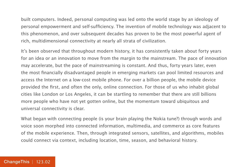built computers. Indeed, personal computing was led onto the world stage by an ideology of personal empowerment and self-sufficiency. The invention of mobile technology was adjacent to this phenomenon, and over subsequent decades has proven to be the most powerful agent of rich, multidimensional connectivity at nearly all strata of civilization.

It's been observed that throughout modern history, it has consistently taken about forty years for an idea or an innovation to move from the margin to the mainstream. The pace of innovation may accelerate, but the pace of mainstreaming is constant. And thus, forty years later, even the most financially disadvantaged people in emerging markets can pool limited resources and access the Internet on a low-cost mobile phone. For over a billion people, the mobile device provided the first, and often the only, online connection. For those of us who inhabit global cities like London or Los Angeles, it can be startling to remember that there are still billions more people who have not yet gotten online, but the momentum toward ubiquitous and universal connectivity is clear.

What began with connecting people (is your brain playing the Nokia tune?) through words and voice soon morphed into connected information, multimedia, and commerce as core features of the mobile experience. Then, through integrated sensors, satellites, and algorithms, mobiles could connect via context, including location, time, season, and behavioral history.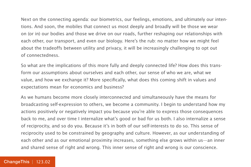Next on the connecting agenda: our biometrics, our feelings, emotions, and ultimately our intentions. And soon, the mobiles that connect us most deeply and broadly will be those we wear on (or in) our bodies and those we drive on our roads, further reshaping our relationships with each other, our transport, and even our biology. Here's the rub: no matter how we might feel about the tradeoffs between utility and privacy, it will be increasingly challenging to opt out of connectedness.

So what are the implications of this more fully and deeply connected life? How does this transform our assumptions about ourselves and each other, our sense of who we are, what we value, and how we exchange it? More specifically, what does this coming shift in values and expectations mean for economics and business?

As we humans become more closely interconnected and simultaneously have the means for broadcasting self-expression to others, we become a community. I begin to understand how my actions positively or negatively impact you because you're able to express those consequences back to me, and over time I internalize what's good or bad for us both. I also internalize a sense of reciprocity, and so do you. Because it's in both of our self-interests to do so. This sense of reciprocity used to be constrained by geography and culture. However, as our understanding of each other and as our emotional proximity increases, something else grows within us—an inner and shared sense of right and wrong. This inner sense of right and wrong is our conscience.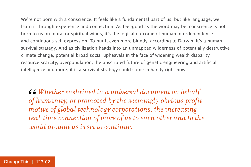We're not born with a conscience. It feels like a fundamental part of us, but like language, we learn it through experience and connection. As feel-good as the word may be, conscience is not born to us on moral or spiritual wings; it's the logical outcome of human interdependence and continuous self-expression. To put it even more bluntly, according to Darwin, it's a human survival strategy. And as civilization heads into an unmapped wilderness of potentially destructive climate change, potential broad social upheavals in the face of widening wealth disparity, resource scarcity, overpopulation, the unscripted future of genetic engineering and artificial intelligence and more, it is a survival strategy could come in handy right now.

*Whether enshrined in a universal document on behalf of humanity, or promoted by the seemingly obvious profit motive of global technology corporations, the increasing real-time connection of more of us to each other and to the world around us is set to continue.*  66<br>of<br>mo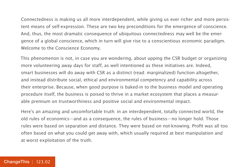Connectedness is making us all more interdependent, while giving us ever richer and more persistent means of self-expression. These are two key preconditions for the emergence of conscience. And, thus, the most dramatic consequence of ubiquitous connectedness may well be the emergence of a global conscience, which in turn will give rise to a conscientious economic paradigm. Welcome to the Conscience Economy.

This phenomenon is not, in case you are wondering, about upping the CSR budget or organizing more volunteering away days for staff, as well intentioned as these initiatives are. Indeed, smart businesses will do away with CSR as a distinct (read: marginalized) function altogether, and instead distribute social, ethical and environmental competency and capability across their enterprise. Because, when good purpose is baked-in to the business model and operating procedure itself, the business is poised to thrive in a market ecosystem that places a measurable premium on trustworthiness and positive social and environmental impact.

Here's an amazing and uncomfortable truth: in an interdependent, totally connected world, the old rules of economics—and as a consequence, the rules of business—no longer hold. Those rules were based on separation and distance. They were based on not-knowing. Profit was all too often based on what you could get away with, which usually required at best manipulation and at worst exploitation of the truth.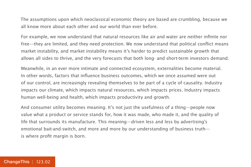The assumptions upon which neoclassical economic theory are based are crumbling, because we all know more about each other and our world than ever before.

For example, we now understand that natural resources like air and water are neither infinite nor free—they are limited, and they need protection. We now understand that political conflict means market instability, and market instability means it's harder to predict sustainable growth that allows all sides to thrive, and the very forecasts that both long- and short-term investors demand.

Meanwhile, in an ever more intimate and connected ecosystem, externalities become material. In other words, factors that influence business outcomes, which we once assumed were out of our control, are increasingly revealing themselves to be part of a cycle of causality. Industry impacts our climate, which impacts natural resources, which impacts prices. Industry impacts human well-being and health, which impacts productivity and growth.

And consumer utility becomes meaning. It's not just the usefulness of a thing—people now value what a product or service stands for, how it was made, who made it, and the quality of life that surrounds its manufacture. This meaning—driven less and less by advertising's emotional bait-and-switch, and more and more by our understanding of business truth is where profit margin is born.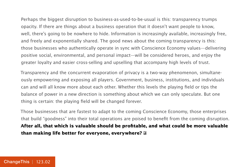Perhaps the biggest disruption to business-as-used-to-be-usual is this: transparency trumps opacity. If there are things about a business operation that it doesn't want people to know, well, there's going to be nowhere to hide. Information is increasingly available, increasingly free, and freely and exponentially shared. The good news about the coming transparency is this: those businesses who authentically operate in sync with Conscience Economy values—delivering positive social, environmental, and personal impact—will be considered heroes, and enjoy the greater loyalty and easier cross-selling and upselling that accompany high levels of trust.

Transparency and the concurrent evaporation of privacy is a two-way phenomenon, simultaneously empowering and exposing all players. Government, business, institutions, and individuals can and will all know more about each other. Whether this levels the playing field or tips the balance of power in a new direction is something about which we can only speculate. But one thing is certain: the playing field will be changed forever.

Those businesses that are fastest to adapt to the coming Conscience Economy, those enterprises that build "goodness" into their total operations are poised to benefit from the coming disruption. **After all, that which is valuable should be profitable, and what could be more valuable than making life better for everyone, everywhere?**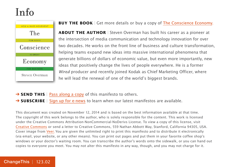### Info



#### **BUY THE BOOK** | Get more details or buy a copy of [The Conscience Economy.](http://800ceoread.com/products/conscience-economy-steven-overman-english?selected=34650)

**ABOUT THE AUTHOR** | Steven Overman has built his career as a pioneer at the intersection of media communication and technology innovation for over two decades. He works on the front line of business and culture transformation, helping teams expand new ideas into massive international phenomena that generate billions of dollars of economic value, but even more importantly, new ideas that positively change the lives of people everywhere. He is a former Wired producer and recently joined Kodak as Chief Marketing Officer, where he will lead the renewal of one of the world's biggest brands.

→ **SEND THIS** | [Pass along a copy](http://www.changethis.com/123.02.ConscienceEconomy/email) of this manifesto to others. **→ SUBSCRIBE** | Sign up fo[r e-news](http://changethis.com/page/show/e_mail_newsletter) to learn when our latest manifestos are available.

This document was created on November 12, 2014 and is based on the best information available at that time. The copyright of this work belongs to the author, who is solely responsible for the content. This work is licensed under the Creative Commons Attribution-NonCommercial-NoDerivs License. To view a copy of this license, visit [Creative Commons](http://creativecommons.org/licenses/by-nc-nd/2.0/) or send a letter to Creative Commons, 559 Nathan Abbott Way, Stanford, California 94305, USA. Cover image from [Veer.](http://www.veer.com/) You are given the unlimited right to print this manifesto and to distribute it electronically (via email, your website, or any other means). You can print out pages and put them in your favorite coffee shop's windows or your doctor's waiting room. You can transcribe the author's words onto the sidewalk, or you can hand out copies to everyone you meet. You may not alter this manifesto in any way, though, and you may not charge for it.